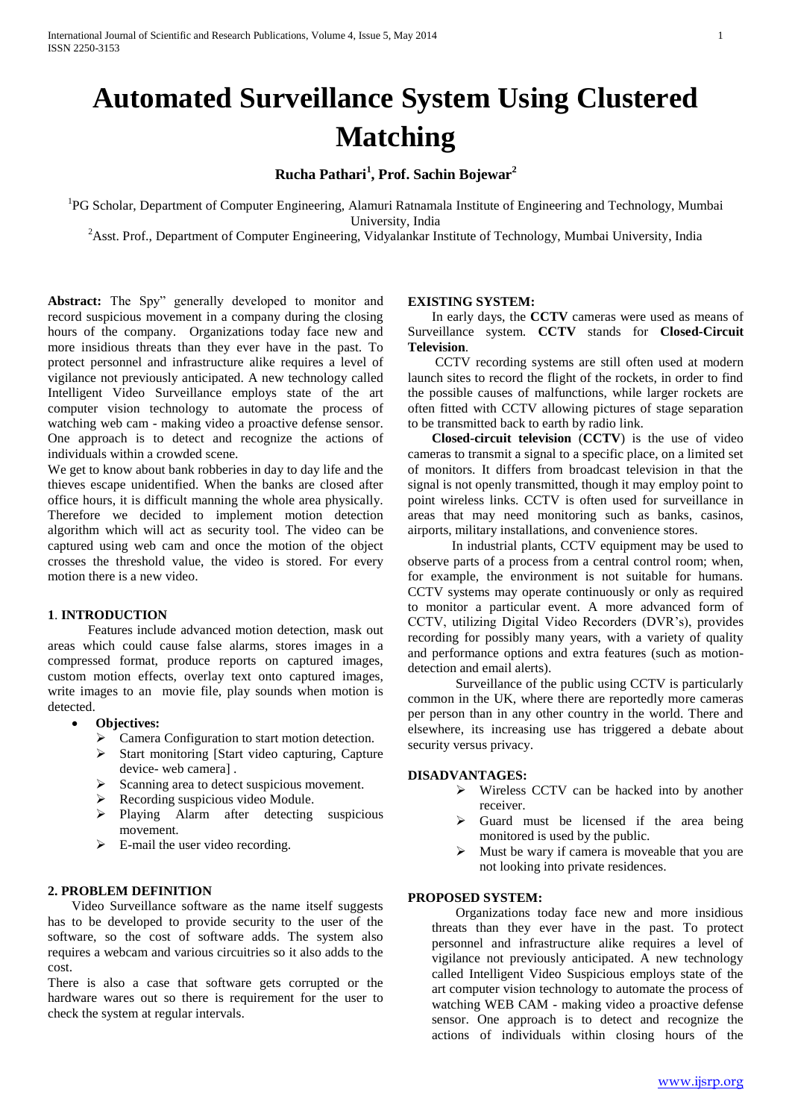# **Automated Surveillance System Using Clustered Matching**

**Rucha Pathari<sup>1</sup> , Prof. Sachin Bojewar<sup>2</sup>**

<sup>1</sup>PG Scholar, Department of Computer Engineering, Alamuri Ratnamala Institute of Engineering and Technology, Mumbai University, India

<sup>2</sup>Asst. Prof., Department of Computer Engineering, Vidyalankar Institute of Technology, Mumbai University, India

**Abstract:** The Spy" generally developed to monitor and record suspicious movement in a company during the closing hours of the company. Organizations today face new and more insidious threats than they ever have in the past. To protect personnel and infrastructure alike requires a level of vigilance not previously anticipated. A new technology called Intelligent Video Surveillance employs state of the art computer vision technology to automate the process of watching web cam - making video a proactive defense sensor. One approach is to detect and recognize the actions of individuals within a crowded scene.

We get to know about bank robberies in day to day life and the thieves escape unidentified. When the banks are closed after office hours, it is difficult manning the whole area physically. Therefore we decided to implement motion detection algorithm which will act as security tool. The video can be captured using web cam and once the motion of the object crosses the threshold value, the video is stored. For every motion there is a new video.

#### **1**. **INTRODUCTION**

 Features include advanced motion detection, mask out areas which could cause false alarms, stores images in a compressed format, produce reports on captured images, custom motion effects, overlay text onto captured images, write images to an movie file, play sounds when motion is detected.

- **Objectives:**
	- > Camera Configuration to start motion detection.
	- $\triangleright$  Start monitoring [Start video capturing, Capture device- web camera] .
	- $\triangleright$  Scanning area to detect suspicious movement.
	- > Recording suspicious video Module.
	- > Playing Alarm after detecting suspicious movement.
	- $\triangleright$  E-mail the user video recording.

#### **2. PROBLEM DEFINITION**

Video Surveillance software as the name itself suggests has to be developed to provide security to the user of the software, so the cost of software adds. The system also requires a webcam and various circuitries so it also adds to the cost.

There is also a case that software gets corrupted or the hardware wares out so there is requirement for the user to check the system at regular intervals.

#### **EXISTING SYSTEM:**

In early days, the **CCTV** cameras were used as means of Surveillance system. **CCTV** stands for **Closed-Circuit Television**.

CCTV recording systems are still often used at modern launch sites to record the flight of the rockets, in order to find the possible causes of malfunctions, while larger rockets are often fitted with CCTV allowing pictures of stage separation to be transmitted back to earth by radio link.

**Closed-circuit television** (**CCTV**) is the use of video cameras to transmit a signal to a specific place, on a limited set of monitors. It differs from broadcast television in that the signal is not openly transmitted, though it may employ point to point wireless links. CCTV is often used for surveillance in areas that may need monitoring such as banks, casinos, airports, military installations, and convenience stores.

 In industrial plants, CCTV equipment may be used to observe parts of a process from a central control room; when, for example, the environment is not suitable for humans. CCTV systems may operate continuously or only as required to monitor a particular event. A more advanced form of CCTV, utilizing Digital Video Recorders (DVR's), provides recording for possibly many years, with a variety of quality and performance options and extra features (such as motiondetection and email alerts).

Surveillance of the public using CCTV is particularly common in the UK, where there are reportedly more cameras per person than in any other country in the world. There and elsewhere, its increasing use has triggered a debate about security versus privacy.

#### **DISADVANTAGES:**

- Wireless CCTV can be hacked into by another receiver.
- $\triangleright$  Guard must be licensed if the area being monitored is used by the public.
- $\triangleright$  Must be wary if camera is moveable that you are not looking into private residences.

## **PROPOSED SYSTEM:**

Organizations today face new and more insidious threats than they ever have in the past. To protect personnel and infrastructure alike requires a level of vigilance not previously anticipated. A new technology called Intelligent Video Suspicious employs state of the art computer vision technology to automate the process of watching WEB CAM - making video a proactive defense sensor. One approach is to detect and recognize the actions of individuals within closing hours of the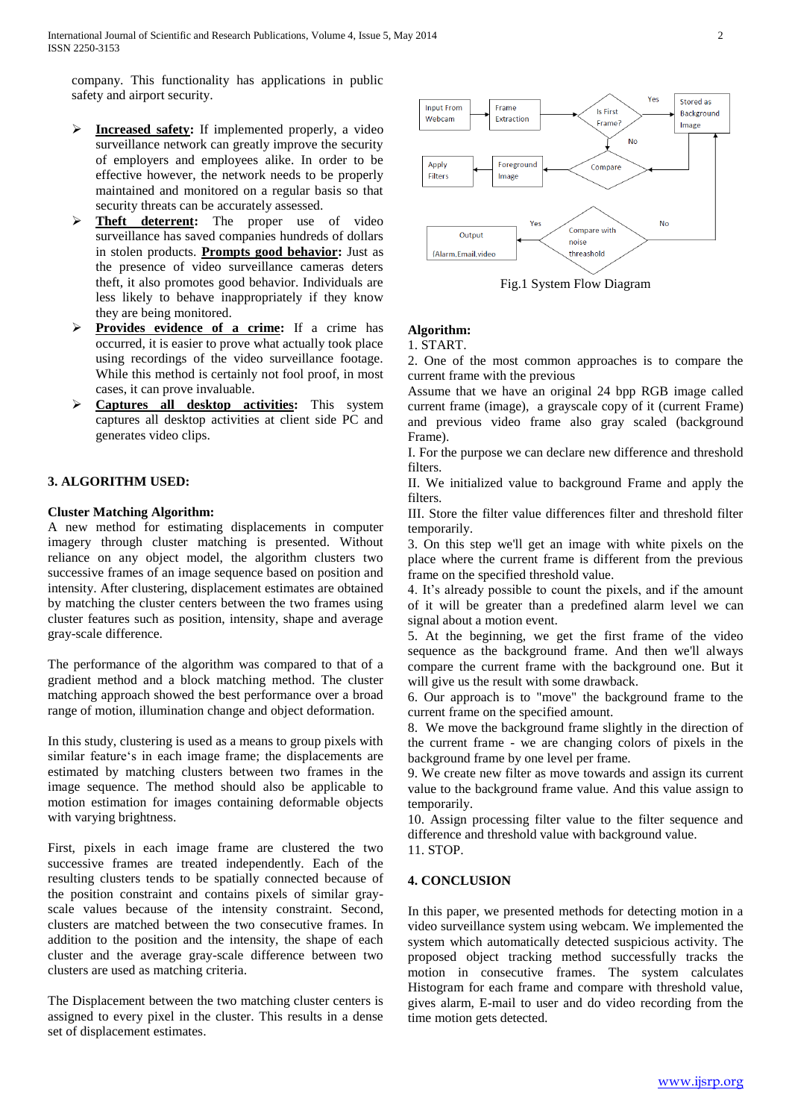company. This functionality has applications in public safety and airport security.

- **Increased safety:** If implemented properly, a video surveillance network can greatly improve the security of employers and employees alike. In order to be effective however, the network needs to be properly maintained and monitored on a regular basis so that security threats can be accurately assessed.
- **Theft deterrent:** The proper use of video surveillance has saved companies hundreds of dollars in stolen products. **Prompts good behavior:** Just as the presence of video surveillance cameras deters theft, it also promotes good behavior. Individuals are less likely to behave inappropriately if they know they are being monitored.
- **Provides evidence of a crime:** If a crime has occurred, it is easier to prove what actually took place using recordings of the video surveillance footage. While this method is certainly not fool proof, in most cases, it can prove invaluable.
- **Captures all desktop activities:** This system captures all desktop activities at client side PC and generates video clips.

## **3. ALGORITHM USED:**

## **Cluster Matching Algorithm:**

A new method for estimating displacements in computer imagery through cluster matching is presented. Without reliance on any object model, the algorithm clusters two successive frames of an image sequence based on position and intensity. After clustering, displacement estimates are obtained by matching the cluster centers between the two frames using cluster features such as position, intensity, shape and average gray-scale difference.

The performance of the algorithm was compared to that of a gradient method and a block matching method. The cluster matching approach showed the best performance over a broad range of motion, illumination change and object deformation.

In this study, clustering is used as a means to group pixels with similar feature's in each image frame; the displacements are estimated by matching clusters between two frames in the image sequence. The method should also be applicable to motion estimation for images containing deformable objects with varying brightness.

First, pixels in each image frame are clustered the two successive frames are treated independently. Each of the resulting clusters tends to be spatially connected because of the position constraint and contains pixels of similar grayscale values because of the intensity constraint. Second, clusters are matched between the two consecutive frames. In addition to the position and the intensity, the shape of each cluster and the average gray-scale difference between two clusters are used as matching criteria.

The Displacement between the two matching cluster centers is assigned to every pixel in the cluster. This results in a dense set of displacement estimates.



Fig.1 System Flow Diagram

# **Algorithm:**

## 1. START.

2. One of the most common approaches is to compare the current frame with the previous

Assume that we have an original 24 bpp RGB image called current frame (image), a grayscale copy of it (current Frame) and previous video frame also gray scaled (background Frame).

I. For the purpose we can declare new difference and threshold filters.

II. We initialized value to background Frame and apply the filters.

III. Store the filter value differences filter and threshold filter temporarily.

3. On this step we'll get an image with white pixels on the place where the current frame is different from the previous frame on the specified threshold value.

4. It's already possible to count the pixels, and if the amount of it will be greater than a predefined alarm level we can signal about a motion event.

5. At the beginning, we get the first frame of the video sequence as the background frame. And then we'll always compare the current frame with the background one. But it will give us the result with some drawback.

6. Our approach is to "move" the background frame to the current frame on the specified amount.

8. We move the background frame slightly in the direction of the current frame - we are changing colors of pixels in the background frame by one level per frame.

9. We create new filter as move towards and assign its current value to the background frame value. And this value assign to temporarily.

10. Assign processing filter value to the filter sequence and difference and threshold value with background value.

11. STOP.

### **4. CONCLUSION**

In this paper, we presented methods for detecting motion in a video surveillance system using webcam. We implemented the system which automatically detected suspicious activity. The proposed object tracking method successfully tracks the motion in consecutive frames. The system calculates Histogram for each frame and compare with threshold value, gives alarm, E-mail to user and do video recording from the time motion gets detected.